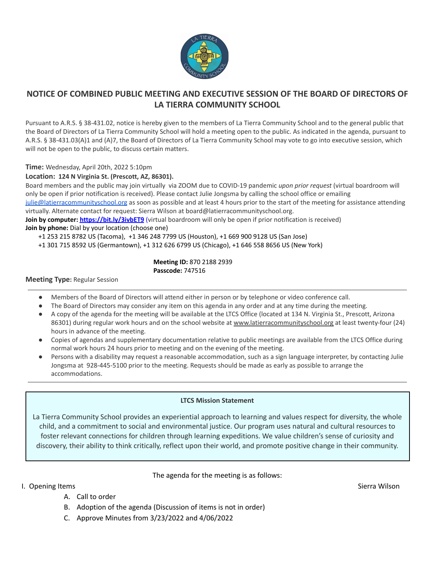

## **NOTICE OF COMBINED PUBLIC MEETING AND EXECUTIVE SESSION OF THE BOARD OF DIRECTORS OF LA TIERRA COMMUNITY SCHOOL**

Pursuant to A.R.S. § 38-431.02, notice is hereby given to the members of La Tierra Community School and to the general public that the Board of Directors of La Tierra Community School will hold a meeting open to the public. As indicated in the agenda, pursuant to A.R.S. § 38-431.03(A)1 and (A)7, the Board of Directors of La Tierra Community School may vote to go into executive session, which will not be open to the public, to discuss certain matters.

**Time:** Wednesday, April 20th, 2022 5:10pm

### **Location: 124 N Virginia St. (Prescott, AZ, 86301).**

Board members and the public may join virtually via ZOOM due to COVID-19 pandemic *upon prior request* (virtual boardroom will only be open if prior notification is received). Please contact Julie Jongsma by calling the school office or emailing [julie@latierracommunityschool.org](mailto:julie@latierracommunityschool.org) as soon as possible and at least 4 hours prior to the start of the meeting for assistance attending

virtually. Alternate contact for request: Sierra Wilson at board@latierracommunityschool.org.

**Join by computer: <https://bit.ly/3ivbET9>** (virtual boardroom will only be open if prior notification is received)

**Join by phone:** Dial by your location (choose one)

+1 253 215 8782 US (Tacoma), +1 346 248 7799 US (Houston), +1 669 900 9128 US (San Jose)

+1 301 715 8592 US (Germantown), +1 312 626 6799 US (Chicago), +1 646 558 8656 US (New York)

**Meeting ID:** 870 2188 2939 **Passcode:** 747516

#### **Meeting Type:** Regular Session

- Members of the Board of Directors will attend either in person or by telephone or video conference call.
- The Board of Directors may consider any item on this agenda in any order and at any time during the meeting.
- A copy of the agenda for the meeting will be available at the LTCS Office (located at 134 N. Virginia St., Prescott, Arizona 86301) during regular work hours and on the school website at [www.latierracommunityschool.org](http://www.latierracommunityschool.org) at least twenty-four (24) hours in advance of the meeting.
- Copies of agendas and supplementary documentation relative to public meetings are available from the LTCS Office during normal work hours 24 hours prior to meeting and on the evening of the meeting.
- Persons with a disability may request a reasonable accommodation, such as a sign language interpreter, by contacting Julie Jongsma at 928-445-5100 prior to the meeting. Requests should be made as early as possible to arrange the accommodations.

### **LTCS Mission Statement**

La Tierra Community School provides an experiential approach to learning and values respect for diversity, the whole child, and a commitment to social and environmental justice. Our program uses natural and cultural resources to foster relevant connections for children through learning expeditions. We value children's sense of curiosity and discovery, their ability to think critically, reflect upon their world, and promote positive change in their community.

### The agenda for the meeting is as follows:

I. Opening Items Sierra Wilson Sierra Wilson Sierra Wilson Sierra Wilson Sierra Wilson Sierra Wilson Sierra Wilson

- A. Call to order
- B. Adoption of the agenda (Discussion of items is not in order)
- C. Approve Minutes from 3/23/2022 and 4/06/2022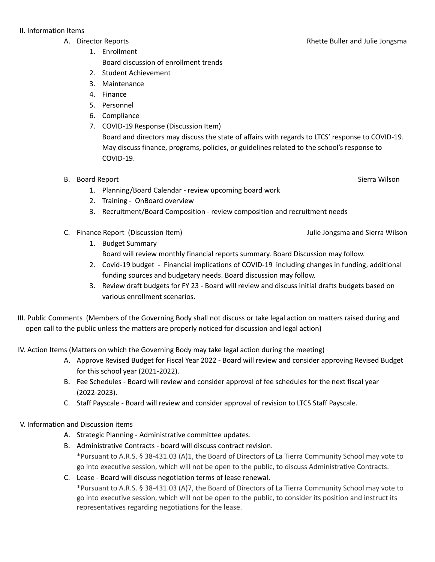- - 1. Enrollment Board discussion of enrollment trends
	- 2. Student Achievement
	- 3. Maintenance
	- 4. Finance
	- 5. Personnel
	- 6. Compliance
	- 7. COVID-19 Response (Discussion Item) Board and directors may discuss the state of affairs with regards to LTCS' response to COVID-19. May discuss finance, programs, policies, or guidelines related to the school's response to COVID-19.

### B. Board Report Sierra Wilson Sierra Wilson Sierra Wilson Sierra Wilson Sierra Wilson Sierra Wilson Sierra Wilson

- 1. Planning/Board Calendar review upcoming board work
- 2. Training OnBoard overview
- 3. Recruitment/Board Composition review composition and recruitment needs
- C. Finance Report (Discussion Item) Julie Jongsma and Sierra Wilson
	- 1. Budget Summary
		- Board will review monthly financial reports summary. Board Discussion may follow.
	- 2. Covid-19 budget Financial implications of COVID-19 including changes in funding, additional funding sources and budgetary needs. Board discussion may follow.
	- 3. Review draft budgets for FY 23 Board will review and discuss initial drafts budgets based on various enrollment scenarios.
- III. Public Comments (Members of the Governing Body shall not discuss or take legal action on matters raised during and open call to the public unless the matters are properly noticed for discussion and legal action)

IV. Action Items (Matters on which the Governing Body may take legal action during the meeting)

- A. Approve Revised Budget for Fiscal Year 2022 Board will review and consider approving Revised Budget for this school year (2021-2022).
- B. Fee Schedules Board will review and consider approval of fee schedules for the next fiscal year (2022-2023).
- C. Staff Payscale Board will review and consider approval of revision to LTCS Staff Payscale.

## V. Information and Discussion items

- A. Strategic Planning Administrative committee updates.
- B. Administrative Contracts board will discuss contract revision. \*Pursuant to A.R.S. § 38-431.03 (A)1, the Board of Directors of La Tierra Community School may vote to go into executive session, which will not be open to the public, to discuss Administrative Contracts.
- C. Lease Board will discuss negotiation terms of lease renewal.

\*Pursuant to A.R.S. § 38-431.03 (A)7, the Board of Directors of La Tierra Community School may vote to go into executive session, which will not be open to the public, to consider its position and instruct its representatives regarding negotiations for the lease.